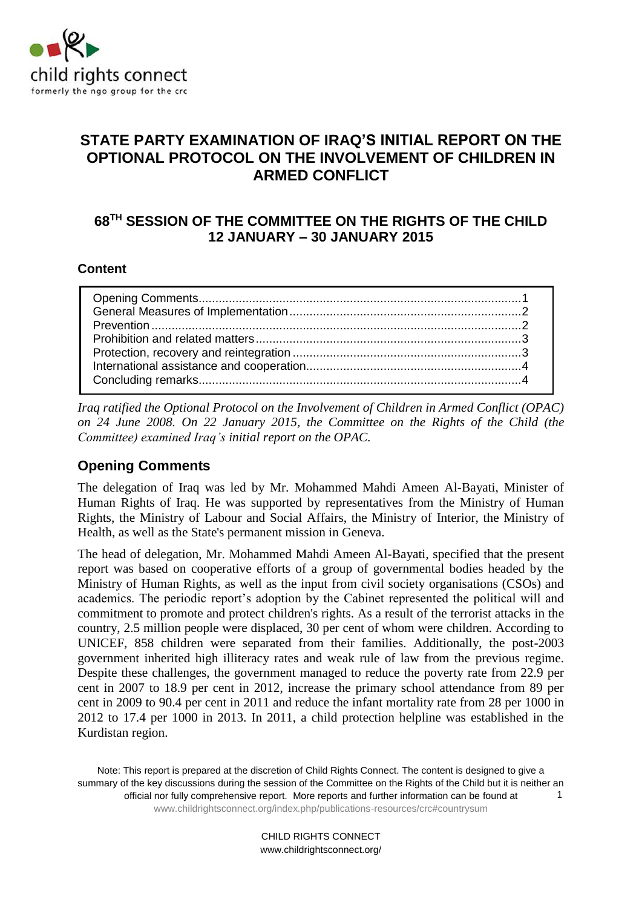

# **STATE PARTY EXAMINATION OF IRAQ'S INITIAL REPORT ON THE OPTIONAL PROTOCOL ON THE INVOLVEMENT OF CHILDREN IN ARMED CONFLICT**

# **68 TH SESSION OF THE COMMITTEE ON THE RIGHTS OF THE CHILD 12 JANUARY – 30 JANUARY 2015**

### **Content**

*Iraq ratified the Optional Protocol on the Involvement of Children in Armed Conflict (OPAC) on 24 June 2008. On 22 January 2015, the Committee on the Rights of the Child (the Committee) examined Iraq's initial report on the OPAC.*

## <span id="page-0-0"></span>**Opening Comments**

The delegation of Iraq was led by Mr. Mohammed Mahdi Ameen Al-Bayati, Minister of Human Rights of Iraq. He was supported by representatives from the Ministry of Human Rights, the Ministry of Labour and Social Affairs, the Ministry of Interior, the Ministry of Health, as well as the State's permanent mission in Geneva.

The head of delegation, Mr. Mohammed Mahdi Ameen Al-Bayati, specified that the present report was based on cooperative efforts of a group of governmental bodies headed by the Ministry of Human Rights, as well as the input from civil society organisations (CSOs) and academics. The periodic report's adoption by the Cabinet represented the political will and commitment to promote and protect children's rights. As a result of the terrorist attacks in the country, 2.5 million people were displaced, 30 per cent of whom were children. According to UNICEF, 858 children were separated from their families. Additionally, the post-2003 government inherited high illiteracy rates and weak rule of law from the previous regime. Despite these challenges, the government managed to reduce the poverty rate from 22.9 per cent in 2007 to 18.9 per cent in 2012, increase the primary school attendance from 89 per cent in 2009 to 90.4 per cent in 2011 and reduce the infant mortality rate from 28 per 1000 in 2012 to 17.4 per 1000 in 2013. In 2011, a child protection helpline was established in the Kurdistan region.

Note: This report is prepared at the discretion of Child Rights Connect. The content is designed to give a summary of the key discussions during the session of the Committee on the Rights of the Child but it is neither an official nor fully comprehensive report. More reports and further information can be found at [www.childrightsconnect.org/index.php/publications-resources/crc#countrysum](http://www.childrightsconnect.org/index.php/publications-resources/crc#countrysum) 1

> CHILD RIGHTS CONNECT www.childrightsconnect.org/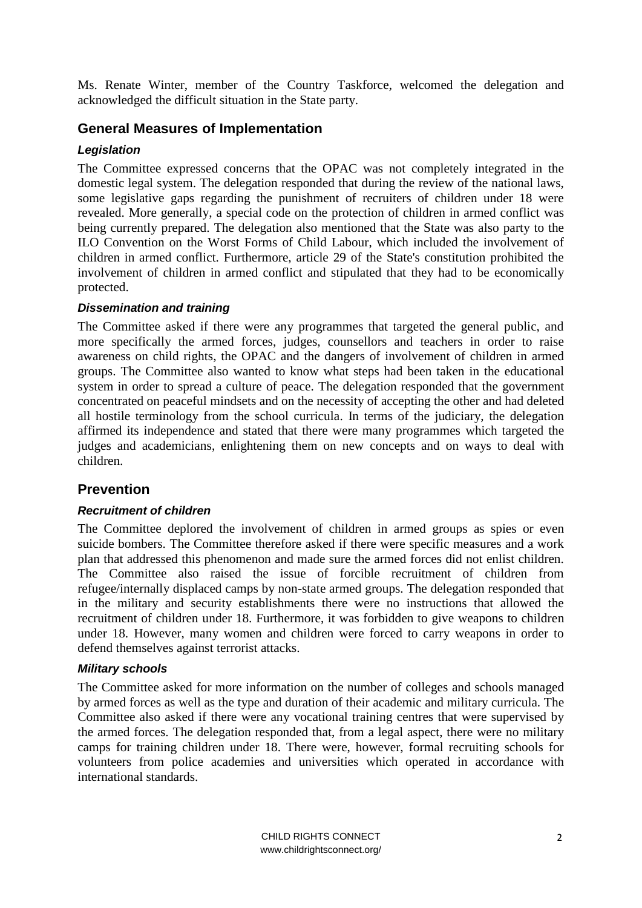Ms. Renate Winter, member of the Country Taskforce, welcomed the delegation and acknowledged the difficult situation in the State party.

# <span id="page-1-0"></span>**General Measures of Implementation**

## *Legislation*

The Committee expressed concerns that the OPAC was not completely integrated in the domestic legal system. The delegation responded that during the review of the national laws, some legislative gaps regarding the punishment of recruiters of children under 18 were revealed. More generally, a special code on the protection of children in armed conflict was being currently prepared. The delegation also mentioned that the State was also party to the ILO Convention on the Worst Forms of Child Labour, which included the involvement of children in armed conflict. Furthermore, article 29 of the State's constitution prohibited the involvement of children in armed conflict and stipulated that they had to be economically protected.

### *Dissemination and training*

The Committee asked if there were any programmes that targeted the general public, and more specifically the armed forces, judges, counsellors and teachers in order to raise awareness on child rights, the OPAC and the dangers of involvement of children in armed groups. The Committee also wanted to know what steps had been taken in the educational system in order to spread a culture of peace. The delegation responded that the government concentrated on peaceful mindsets and on the necessity of accepting the other and had deleted all hostile terminology from the school curricula. In terms of the judiciary, the delegation affirmed its independence and stated that there were many programmes which targeted the judges and academicians, enlightening them on new concepts and on ways to deal with children.

## <span id="page-1-1"></span>**Prevention**

### *Recruitment of children*

The Committee deplored the involvement of children in armed groups as spies or even suicide bombers. The Committee therefore asked if there were specific measures and a work plan that addressed this phenomenon and made sure the armed forces did not enlist children. The Committee also raised the issue of forcible recruitment of children from refugee/internally displaced camps by non-state armed groups. The delegation responded that in the military and security establishments there were no instructions that allowed the recruitment of children under 18. Furthermore, it was forbidden to give weapons to children under 18. However, many women and children were forced to carry weapons in order to defend themselves against terrorist attacks.

#### *Military schools*

The Committee asked for more information on the number of colleges and schools managed by armed forces as well as the type and duration of their academic and military curricula. The Committee also asked if there were any vocational training centres that were supervised by the armed forces. The delegation responded that, from a legal aspect, there were no military camps for training children under 18. There were, however, formal recruiting schools for volunteers from police academies and universities which operated in accordance with international standards.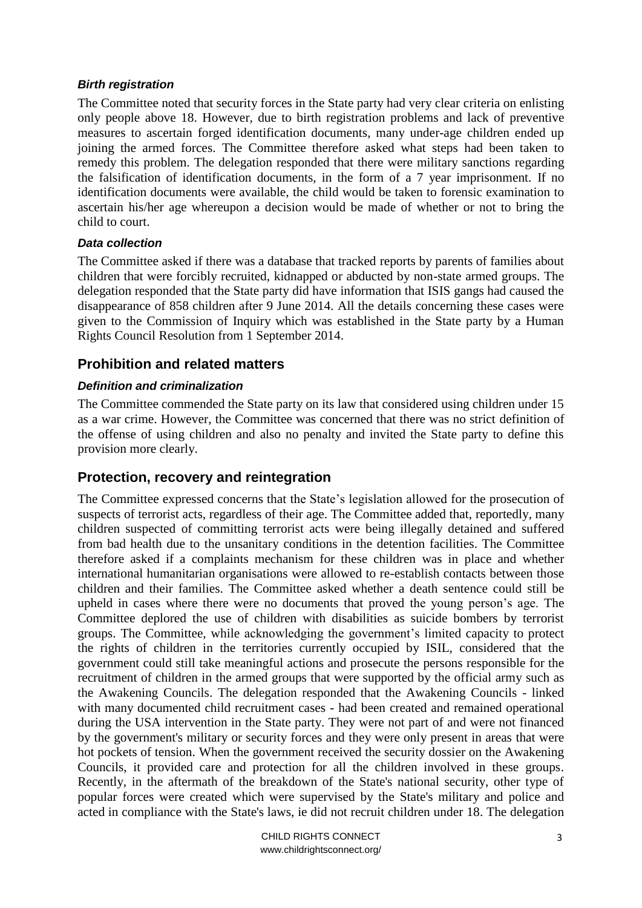#### *Birth registration*

The Committee noted that security forces in the State party had very clear criteria on enlisting only people above 18. However, due to birth registration problems and lack of preventive measures to ascertain forged identification documents, many under-age children ended up joining the armed forces. The Committee therefore asked what steps had been taken to remedy this problem. The delegation responded that there were military sanctions regarding the falsification of identification documents, in the form of a 7 year imprisonment. If no identification documents were available, the child would be taken to forensic examination to ascertain his/her age whereupon a decision would be made of whether or not to bring the child to court.

### *Data collection*

The Committee asked if there was a database that tracked reports by parents of families about children that were forcibly recruited, kidnapped or abducted by non-state armed groups. The delegation responded that the State party did have information that ISIS gangs had caused the disappearance of 858 children after 9 June 2014. All the details concerning these cases were given to the Commission of Inquiry which was established in the State party by a Human Rights Council Resolution from 1 September 2014.

# <span id="page-2-0"></span>**Prohibition and related matters**

## *Definition and criminalization*

The Committee commended the State party on its law that considered using children under 15 as a war crime. However, the Committee was concerned that there was no strict definition of the offense of using children and also no penalty and invited the State party to define this provision more clearly.

## <span id="page-2-1"></span>**Protection, recovery and reintegration**

The Committee expressed concerns that the State's legislation allowed for the prosecution of suspects of terrorist acts, regardless of their age. The Committee added that, reportedly, many children suspected of committing terrorist acts were being illegally detained and suffered from bad health due to the unsanitary conditions in the detention facilities. The Committee therefore asked if a complaints mechanism for these children was in place and whether international humanitarian organisations were allowed to re-establish contacts between those children and their families. The Committee asked whether a death sentence could still be upheld in cases where there were no documents that proved the young person's age. The Committee deplored the use of children with disabilities as suicide bombers by terrorist groups. The Committee, while acknowledging the government's limited capacity to protect the rights of children in the territories currently occupied by ISIL, considered that the government could still take meaningful actions and prosecute the persons responsible for the recruitment of children in the armed groups that were supported by the official army such as the Awakening Councils. The delegation responded that the Awakening Councils - linked with many documented child recruitment cases - had been created and remained operational during the USA intervention in the State party. They were not part of and were not financed by the government's military or security forces and they were only present in areas that were hot pockets of tension. When the government received the security dossier on the Awakening Councils, it provided care and protection for all the children involved in these groups. Recently, in the aftermath of the breakdown of the State's national security, other type of popular forces were created which were supervised by the State's military and police and acted in compliance with the State's laws, ie did not recruit children under 18. The delegation